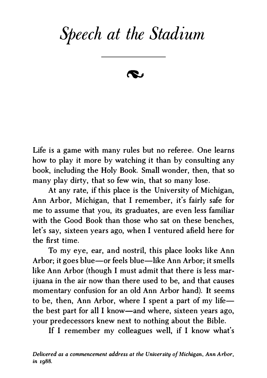# Speech at the Stadium

Life is a game with many rules but no referee. One learns how to play it more by watching it than by consulting any book, including the Holy Book. Small wonder, then, that so many play dirty, that so few win, that so many lose.

At any rate, if this place is the University of Michigan, Ann Arbor, Michigan, that I remember, it's fairly safe for me to assume that you, its graduates, are even less familiar with the Good Book than those who sat on these benches, let's say, sixteen years ago, when I ventured afeld here for the frst time.

To my eye, ear, and nostril, this place looks like Ann Arbor; it goes blue-or feels blue-like Ann Arbor; it smells like Ann Arbor (though I must admit that there is less marijuana in the air now than there used to be, and that causes momentary confusion for an old Ann Arbor hand). It seems to be, then, Ann Arbor, where I spent a part of my lifethe best part for all I know-and where, sixteen years ago, your predecessors knew next to nothing about the Bible.

If I remember my colleagues well, if I know what's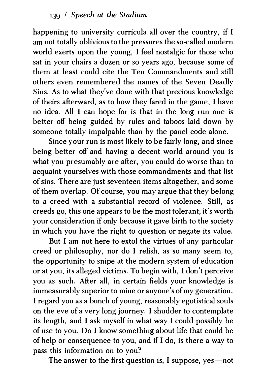#### 139 I Speech at the Stadium

happening to university curricula all over the country, if I am not totally oblivious to the pressures the so-called modern world exerts upon the young, I feel nostalgic for those who sat in your chairs a dozen or so years ago, because some of them at least could cite the Ten Commandments and still others even remembered the names of the Seven Deadly Sins. As to what they've done with that precious knowledge of theirs afterward, as to how they fared in the game, I have no idea. All I can hope for is that in the long run one is better off being guided by rules and taboos laid down by someone totally impalpable than by the panel code alone.

Since your run is most likely to be fairly long, and since being better off and having a decent world around you is what you presumably are after, you could do worse than to acquaint yourselves with those commandments and that list of sins. There are just seventeen items altogether, and some of them overlap. Of course, you may argue that they belong to a creed with a substantial record of violence. Still, as creeds go, this one appears to be the most tolerant; it's worth your consideration if only because it gave birth to the society in which you have the right to question or negate its value.

But I am not here to extol the virtues of any particular creed or philosophy, nor do I relish, as so many seem to, the opportunity to snipe at the modern system of education or at you, its alleged victims. To begin with, I don't perceive you as such. After all, in certain fields your knowledge is immeasurably superior to mine or anyone's of my generation. I regard you as a bunch of young, reasonably egotistical souls on the eve of a very long journey. I shudder to contemplate its length, and I ask myself in what way I could possibly be of use to you. Do I know something about life that could be of help or consequence to you, and if I do, is there a way to pass this information on to you?

The answer to the first question is, I suppose, yes—not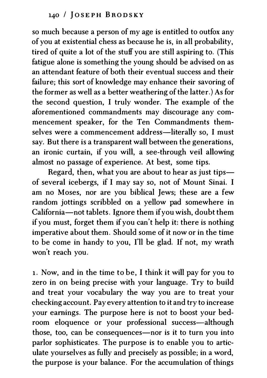so much because a person of my age is entitled to outfox any of you at existential chess as because he is, in all probability, tired of quite a lot of the stuf you are still aspiring to. (This fatigue alone is something the young should be advised on as an attendant feature of both their eventual success and their failure; this sort of knowledge may enhance their savoring of the former as well as a better weathering of the latter.) As for the second question, I truly wonder. The example of the aforementioned commandments may discourage any commencement speaker, for the Ten Commandments themselves were a commencement address-literally so, I must say. But there is a transparent wall between the generations, an ironic curtain, if you will, a see-through veil allowing almost no passage of experience. At best, some tips.

Regard, then, what you are about to hear as just tipsof several icebergs, if I may say so, not of Mount Sinai. I am no Moses, nor are you biblical Jews; these are a few random jottings scribbled on a yellow pad somewhere in California-not tablets. Ignore them if you wish, doubt them if you must, forget them if you can't help it: there is nothing imperative about them. Should some of it now or in the time to be come in handy to you, I'll be glad. If not, my wrath won't reach you.

1. Now, and in the time to be, I think it will pay for you to zero in on being precise with your language. Try to build and treat your vocabulary the way you are to treat your checking account. Pay every attention to it and try to increase your earnings. The purpose here is not to boost your bedroom eloquence or your professional success-although those, too, can be consequences—nor is it to turn you into parlor sophisticates. The purpose is to enable you to articulate yourselves as fully and precisely as possible; in a word, the purpose is your balance. For the accumulation of things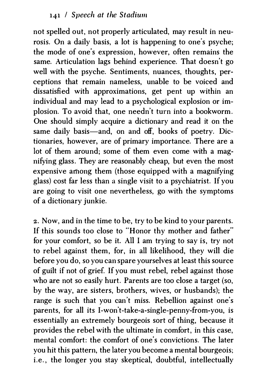### 141 / Speech at the Stadium

not spelled out, not properly articulated, may result in neurosis. On a daily basis, a lot is happening to one's psyche; the mode of one's expression, however, often remains the same. Articulation lags behind experience. That doesn't go well with the psyche. Sentiments, nuances, thoughts, perceptions that remain nameless, unable to be voiced and dissatisfied with approximations, get pent up within an individual and may lead to a psychological explosion or implosion. To avoid that, one needn't turn into a bookworm. One should simply acquire a dictionary and read it on the same daily basis-and, on and off, books of poetry. Dictionaries, however, are of primary importance. There are a lot of them around; some of them even come with a magnifying glass. They are reasonably cheap, but even the most expensive among them (those equipped with a magnifying glass) cost far less than a single visit to a psychiatrist. If you are going to visit one nevertheless, go with the symptoms of a dictionary junkie.

z. Now, and in the time to be, try to be kind to your parents. If this sounds too close to "Honor thy mother and father" for your comfort, so be it. All I am trying to say is, try not to rebel against them, for, in all likelihood, they will die before you do, so you can spare yourselves at least this source of guilt if not of grief. If you must rebel, rebel against those who are not so easily hurt. Parents are too close a target (so, by the way, are sisters, brothers, wives, or husbands); the range is such that you can't miss. Rebellion against one's parents, for all its I-won't-take-a-single-penny-from-you, is essentially an extremely bourgeois sort of thing, because it provides the rebel with the ultimate in comfort, in this case, mental comfort: the comfort of one's convictions. The later you hit this pattern, the later you become a mental bourgeois; i.e., the longer you stay skeptical, doubtful, intellectually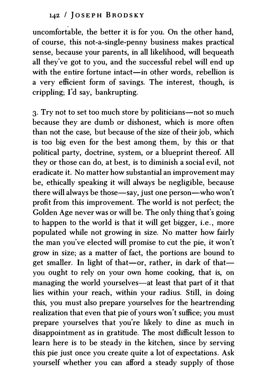uncomfortable, the better it is for you. On the other hand, of course, this not-a-single-penny business makes practical sense, because your parents, in all likelihood, will bequeath all they've got to you, and the successful rebel will end up with the entire fortune intact—in other words, rebellion is a very efficient form of savings. The interest, though, is crippling; I'd say, bankrupting.

3. Try not to set too much store by politicians-not so much because they are dumb or dishonest, which is more often than not the case, but because of the size of their job, which is too big even for the best among them, by this or that political party, doctrine, system, or a blueprint thereof. All they or those can do, at best, is to diminish a social evil, not eradicate it. No matter how substantial an improvement may be, ethically speaking it will always be negligible, because there will always be those—say, just one person—who won't profit from this improvement. The world is not perfect; the Golden Age never was or will be. The only thing that's going to happen to the world is that it will get bigger, i.e. , more populated while not growing in size. No matter how fairly the man you've elected will promise to cut the pie, it won't grow in size; as a matter of fact, the portions are bound to get smaller. In light of that-or, rather, in dark of thatyou ought to rely on your own home cooking, that is, on managing the world yourselves-at least that part of it that lies within your reach, within your radius. Still, in doing this, you must also prepare yourselves for the heartrending realization that even that pie of yours won't suffice; you must prepare yourselves that you're likely to dine as much in disappointment as in gratitude. The most difficult lesson to learn here is to be steady in the kitchen, since by serving this pie just once you create quite a lot of expectations. Ask yourself whether you can aford a steady supply of those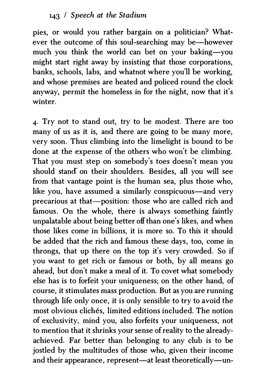#### 143 I Speech at the Stadium

pies, or would you rather bargain on a politician? Whatever the outcome of this soul-searching may be—however much you think the world can bet on your baking-you might start right away by insisting that those corporations, banks, schools, labs, and whatnot where you'll be working, and whose premises are heated and policed round the clock anyway, permit the homeless in for the night, now that it's winter.

4· Try not to stand out, try to be modest. There are too many of us as it is, and there are going to be many more, very soon. Thus climbing into the limelight is bound to be done at the expense of the others who won't be climbing. That you must step on somebody's toes doesn't mean you should stand on their shoulders. Besides, all you will see from that vantage point is the human sea, plus those who, like you, have assumed a similarly conspicuous—and very precarious at that-position: those who are called rich and famous. On the whole, there is always something faintly unpalatable about being better of than one's likes, and when those likes come in billions, it is more so. To this it should be added that the rich and famous these days, too, come in throngs, that up there on the top it's very crowded. So if you want to get rich or famous or both, by all means go ahead, but don't make a meal of it. To covet what somebody else has is to forfeit your uniqueness; on the other hand, of course, it stimulates mass production. But as you are running through life only once, it is only sensible to try to avoid the most obvious clichés, limited editions included. The notion of exclusivity, mind you, also forfeits your uniqueness, not to mention that it shrinks your sense of reality to the alreadyachieved. Far better than belonging to any club is to be jostled by the multitudes of those who, given their income and their appearance, represent-at least theoretically-un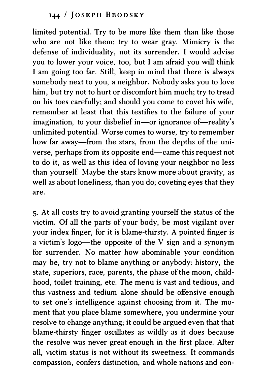limited potential. Try to be more like them than like those who are not like them; try to wear gray. Mimicry is the defense of individuality, not its surrender. I would advise you to lower your voice, too, but I am afraid you will think I am going too far. Still, keep in mind that there is always somebody next to you, a neighbor. Nobody asks you to love him, but try not to hurt or discomfort him much; try to tread on his toes carefully; and should you come to covet his wife, remember at least that this testifes to the failure of your imagination, to your disbelief in-or ignorance of-reality's unlimited potential. Worse comes to worse, try to remember how far away—from the stars, from the depths of the universe, perhaps from its opposite end—came this request not to do it, as well as this idea of loving your neighbor no less than yourself. Maybe the stars know more about gravity, as well as about loneliness, than you do; coveting eyes that they are.

5· At all costs try to avoid granting yourself the status of the victim. Of all the parts of your body, be most vigilant over your index fnger, for it is blame-thirsty. A pointed finger is a victim's logo—the opposite of the V sign and a synonym for surrender. No matter how abominable your condition may be, try not to blame anything or anybody: history, the state, superiors, race, parents, the phase of the moon, childhood, toilet training, etc. The menu is vast and tedious, and this vastness and tedium alone should be ofensive enough to set one's intelligence against choosing from it. The moment that you place blame somewhere, you undermine your resolve to change anything; it could be argued even that that blame-thirsty finger oscillates as wildly as it does because the resolve was never great enough in the first place. After all, victim status is not without its sweetness. It commands compassion, confers distinction, and whole nations and con-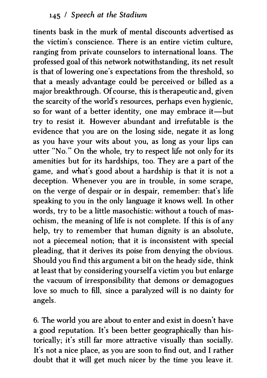# 145 / Speech at the Stadium

tinents bask in the murk of mental discounts advertised as the victim's conscience. There is an entire victim culture, ranging from private counselors to international loans. The professed goal of this network notwithstanding, its net result is that of lowering one's expectations from the threshold, so that a measly advantage could be perceived or billed as a major breakthrough. Of course, this is therapeutic and, given the scarcity of the world's resources, perhaps even hygienic, so for want of a better identity, one may embrace it-but try to resist it. However abundant and irrefutable is the evidence that you are on the losing side, negate it as long as you have your wits about you, as long as your lips can utter "No." On the whole, try to respect life not only for its amenities but for its hardships, too. They are a part of the game, and what's good about a hardship is that it is not a deception. Whenever you are in trouble, in some scrape, on the verge of despair or in despair, remember: that's life speaking to you in the only language it knows well. In other words, try to be a little masochistic: without a touch of masochism, the meaning of life is not complete. If this is of any help, try to remember that human dignity is an absolute, not a piecemeal notion; that it is inconsistent with special pleading, that it derives its poise from denying the obvious. Should you find this argument a bit on the heady side, think at least that by considering yourself a victim you but enlarge the vacuum of irresponsibility that demons or demagogues love so much to fll, since a paralyzed will is no dainty for angels.

6. The world you are about to enter and exist in doesn't have a good reputation. It's been better geographically than historically; it's still far more attractive visually than socially. It's not a nice place, as you are soon to fnd out, and I rather doubt that it will get much nicer by the time you leave it.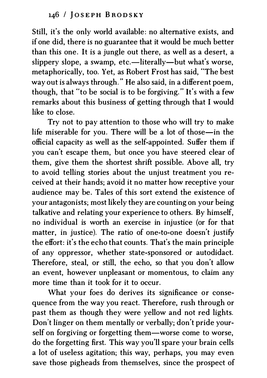Still, it's the only world available: no alterative exists, and if one did, there is no guarantee that it would be much better than this one. It is a jungle out there, as well as a desert, a slippery slope, a swamp, etc.—literally—but what's worse, metaphorically, too. Yet, as Robert Frost has said, "The best way out is always through." He also said, in a diferent poem, though, that "to be social is to be forgiving." It's with a few remarks about this business of getting through that I would like to close.

Try not to pay attention to those who will try to make life miserable for you. There will be a lot of those-in the official capacity as well as the self-appointed. Suffer them if you can't escape them, but once you have steered clear of them, give them the shortest shrift possible. Above all, try to avoid telling stories about the unjust treatment you received at their hands; avoid it no matter how receptive your audience may be. Tales of this sort extend the existence of your antagonists; most likely they are counting on your being talkative and relating your experience to others. By himself, no individual is worth an exercise in injustice (or for that matter, in justice). The ratio of one-to-one doesn't justif the efort: it's the echo that counts. That's the main principle of any oppressor, whether state-sponsored or autodidact. Therefore, steal, or still, the echo, so that you don't allow an event, however unpleasant or momentous, to claim any more time than it took for it to occur.

What your foes do derives its significance or consequence from the way you react. Therefore, rush through or past them as though they were yellow and not red lights. Don't linger on them mentally or verbally; don't pride yourself on forgiving or forgetting them-worse come to worse, do the forgetting frst. This way you'll spare your brain cells a lot of useless agitation; this way, perhaps, you may even save those pigheads from themselves, since the prospect of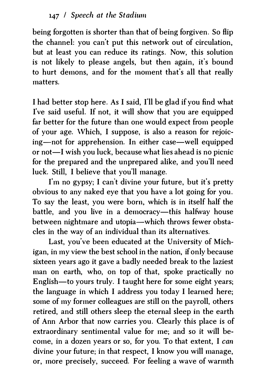# 147 I Speech at the Stadium

being forgotten is shorter than that of being forgiven. So Hip the channel: you can't put this network out of circulation, but at least you can reduce its ratings. Now, this solution is not likely to please angels, but then again, it's bound to hurt demons, and for the moment that's all that really matters.

I had better stop here. As I said, I'll be glad if you fnd what I've said useful. If not, it will show that you are equipped far better for the future than one would expect from people of your age. \Vhich, I suppose, is also a reason for rejoicing-not for apprehension. In either case-well equipped or not-I wish you luck, because what lies ahead is no picnic for the prepared and the unprepared alike, and you'll need luck. Still, I believe that you'll manage.

I'm no gypsy; I can't divine your future, but it's pretty obvious to any naked eye that you have a lot going for you. To say the least, you were born, which is in itself half the battle, and you live in a democracy-this halfway house between nightmare and utopia-which throws fewer obstacles in the way of an individual than its alternatives.

Last, you've been educated at the University of Michigan, in my view the best school in the nation, if only because sixteen years ago it gave a badly needed break to the laziest man on earth, who, on top of that, spoke practically no English-to yours truly. I taught here for some eight years; the language in which I address you today I learned here; some of my former colleagues are still on the payroll, others retired, and still others sleep the eteral sleep in the earth of Ann Arbor that now carries you. Clearly this place is of extraordinary sentimental value for me; and so it will become, in a dozen years or so, for you. To that extent, I can divine your future; in that respect, I know you will manage, or, more precisely, succeed. For feeling a wave of warmth